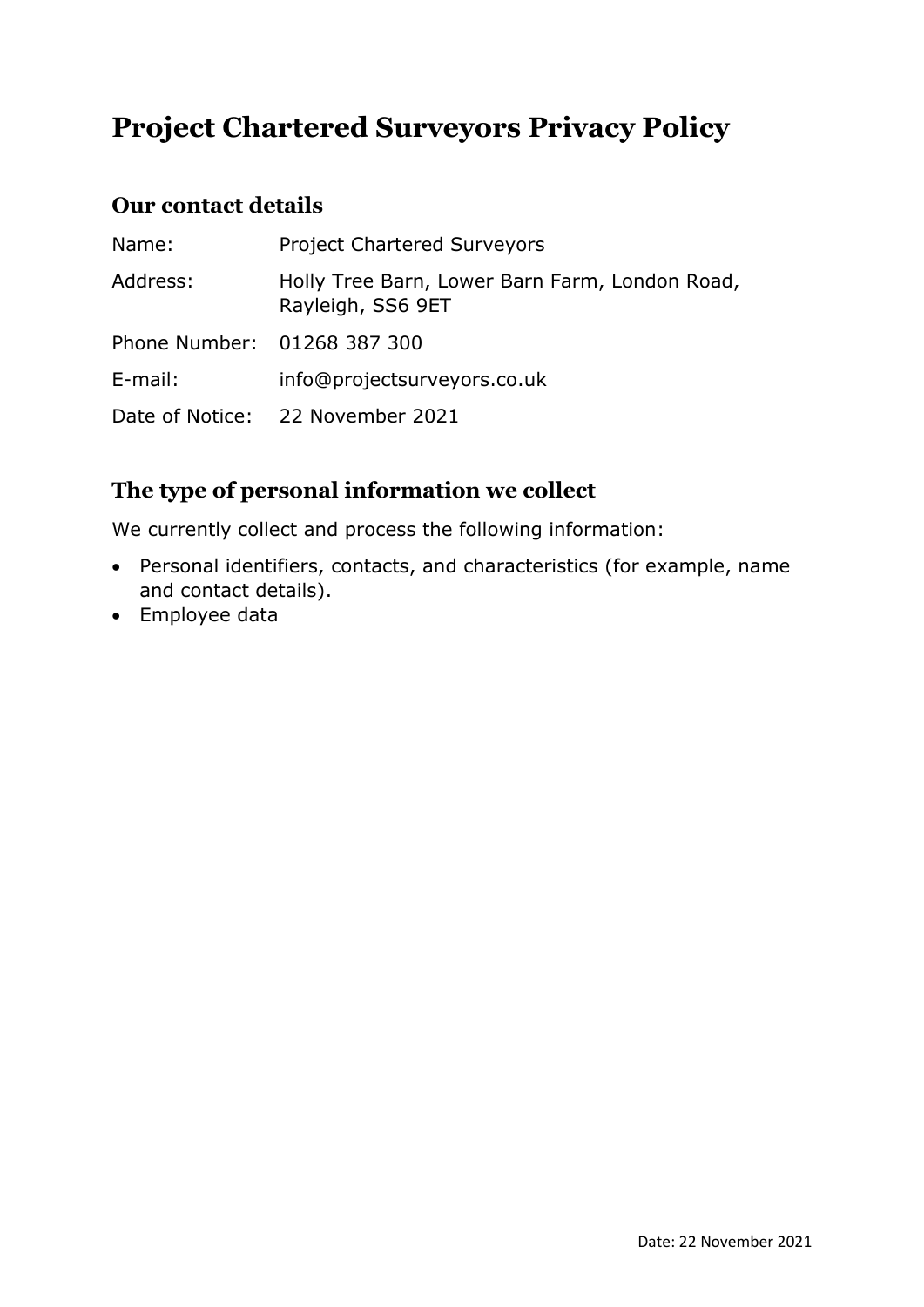# **Project Chartered Surveyors Privacy Policy**

#### **Our contact details**

| Name:                       | <b>Project Chartered Surveyors</b>                                  |
|-----------------------------|---------------------------------------------------------------------|
| Address:                    | Holly Tree Barn, Lower Barn Farm, London Road,<br>Rayleigh, SS6 9ET |
| Phone Number: 01268 387 300 |                                                                     |
| E-mail:                     | info@projectsurveyors.co.uk                                         |
|                             | Date of Notice: 22 November 2021                                    |

# **The type of personal information we collect**

We currently collect and process the following information:

- Personal identifiers, contacts, and characteristics (for example, name and contact details).
- Employee data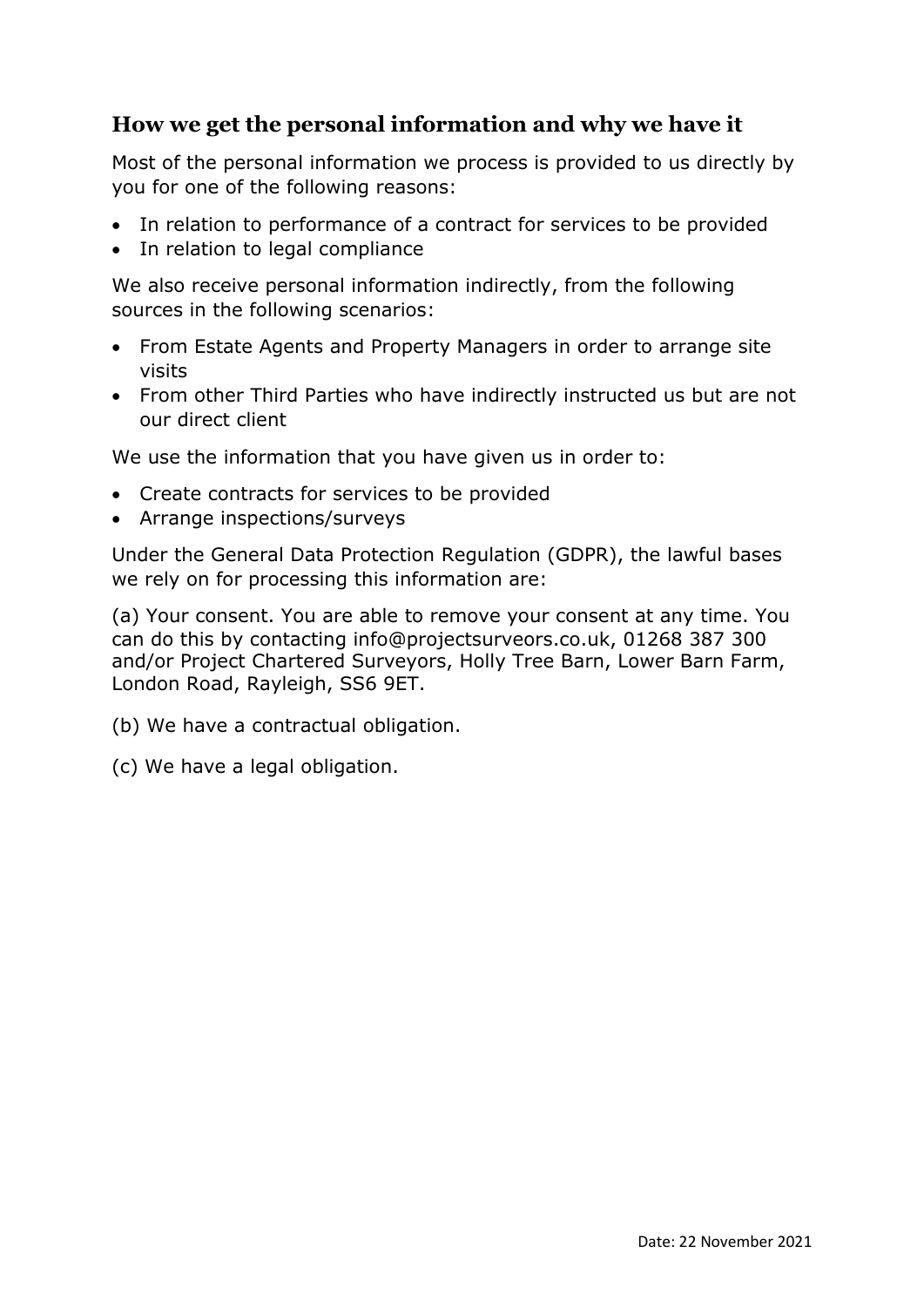#### **How we get the personal information and why we have it**

Most of the personal information we process is provided to us directly by you for one of the following reasons:

- In relation to performance of a contract for services to be provided
- In relation to legal compliance

We also receive personal information indirectly, from the following sources in the following scenarios:

- From Estate Agents and Property Managers in order to arrange site visits
- From other Third Parties who have indirectly instructed us but are not our direct client

We use the information that you have given us in order to:

- Create contracts for services to be provided
- Arrange inspections/surveys

Under the General Data Protection Regulation (GDPR), the lawful bases we rely on for processing this information are:

(a) Your consent. You are able to remove your consent at any time. You can do this by contacting info@projectsurveors.co.uk, 01268 387 300 and/or Project Chartered Surveyors, Holly Tree Barn, Lower Barn Farm, London Road, Rayleigh, SS6 9ET.

(b) We have a contractual obligation.

(c) We have a legal obligation.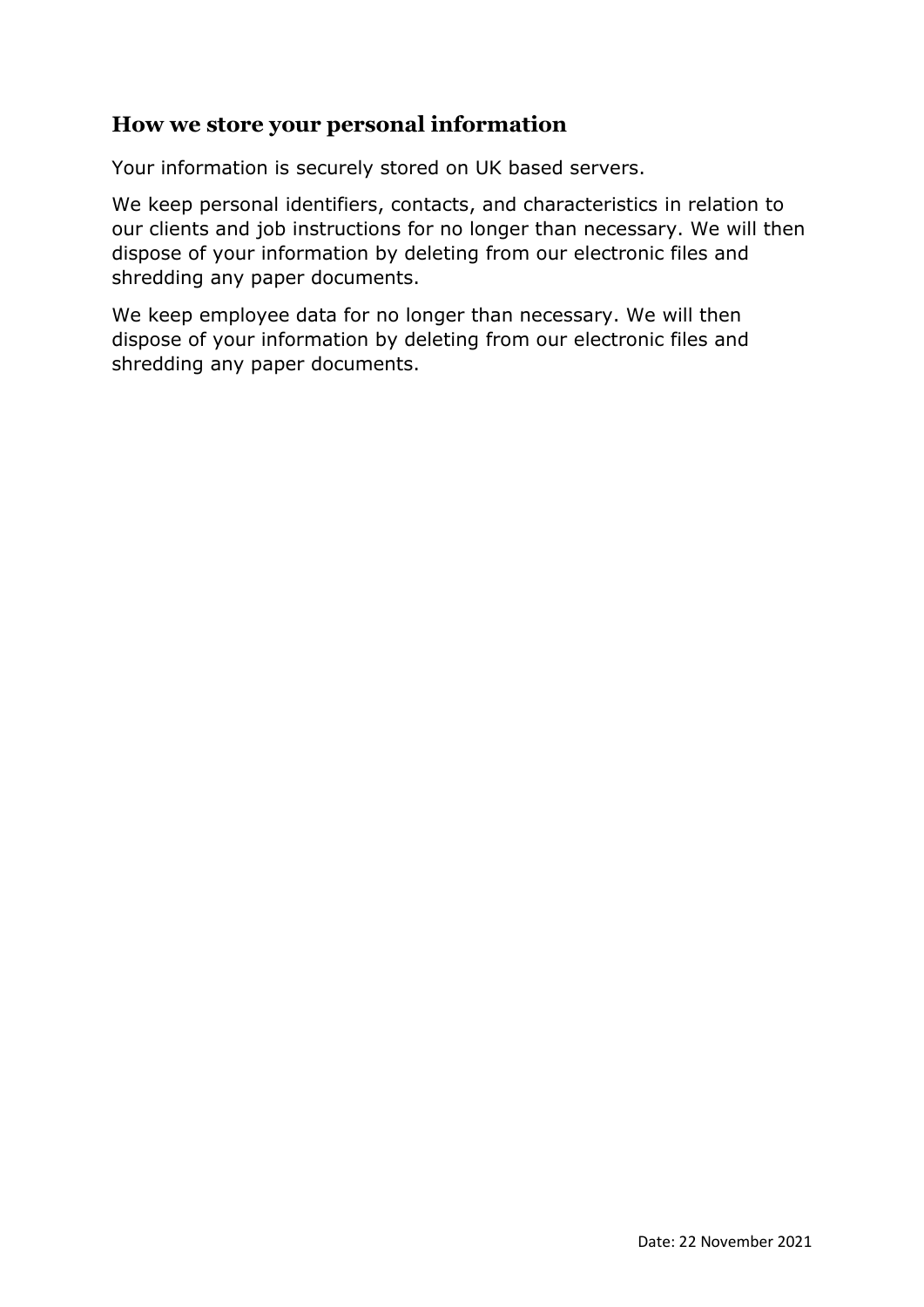#### **How we store your personal information**

Your information is securely stored on UK based servers.

We keep personal identifiers, contacts, and characteristics in relation to our clients and job instructions for no longer than necessary. We will then dispose of your information by deleting from our electronic files and shredding any paper documents.

We keep employee data for no longer than necessary. We will then dispose of your information by deleting from our electronic files and shredding any paper documents.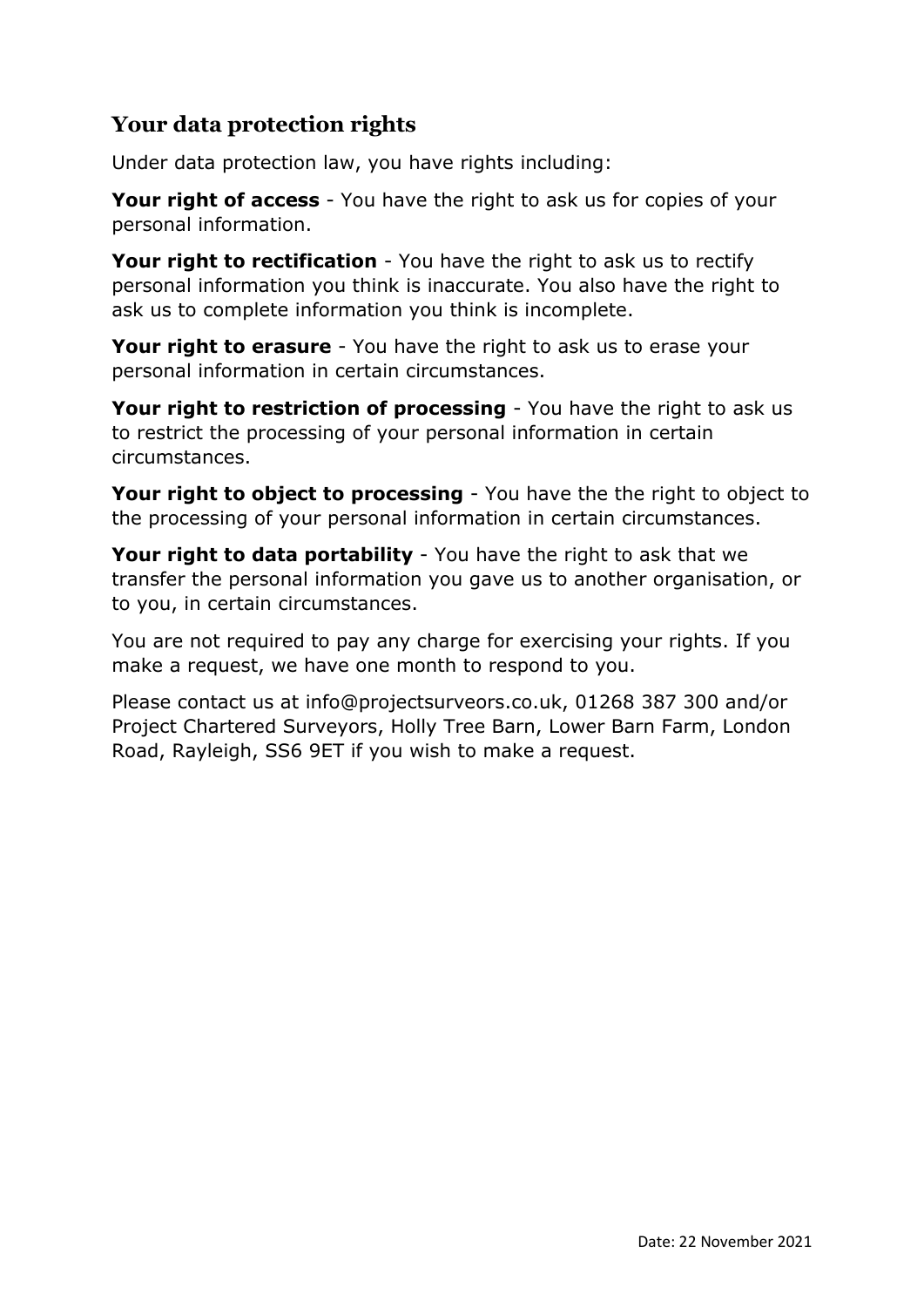## **Your data protection rights**

Under data protection law, you have rights including:

**Your right of access** - You have the right to ask us for copies of your personal information.

**Your right to rectification** - You have the right to ask us to rectify personal information you think is inaccurate. You also have the right to ask us to complete information you think is incomplete.

**Your right to erasure** - You have the right to ask us to erase your personal information in certain circumstances.

**Your right to restriction of processing** - You have the right to ask us to restrict the processing of your personal information in certain circumstances.

**Your right to object to processing** - You have the the right to object to the processing of your personal information in certain circumstances.

**Your right to data portability** - You have the right to ask that we transfer the personal information you gave us to another organisation, or to you, in certain circumstances.

You are not required to pay any charge for exercising your rights. If you make a request, we have one month to respond to you.

Please contact us at info@projectsurveors.co.uk, 01268 387 300 and/or Project Chartered Surveyors, Holly Tree Barn, Lower Barn Farm, London Road, Rayleigh, SS6 9ET if you wish to make a request.